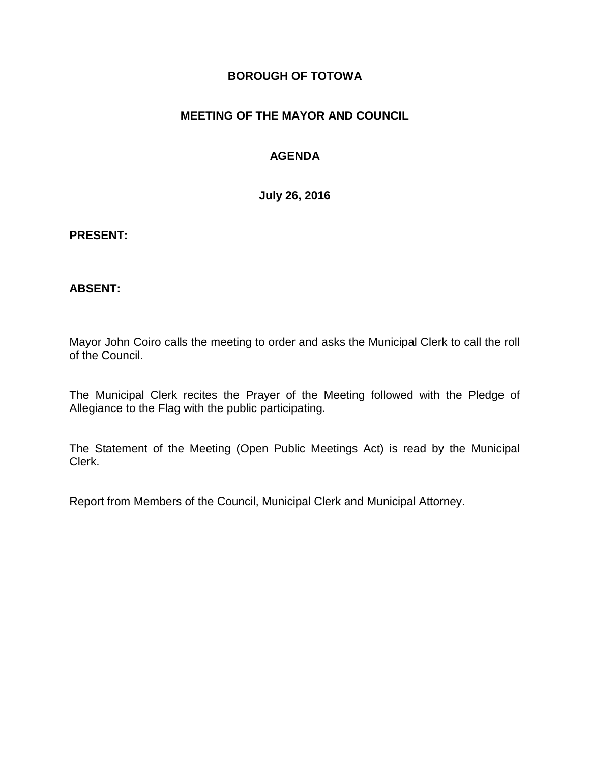### **BOROUGH OF TOTOWA**

## **MEETING OF THE MAYOR AND COUNCIL**

## **AGENDA**

**July 26, 2016**

#### **PRESENT:**

### **ABSENT:**

Mayor John Coiro calls the meeting to order and asks the Municipal Clerk to call the roll of the Council.

The Municipal Clerk recites the Prayer of the Meeting followed with the Pledge of Allegiance to the Flag with the public participating.

The Statement of the Meeting (Open Public Meetings Act) is read by the Municipal Clerk.

Report from Members of the Council, Municipal Clerk and Municipal Attorney.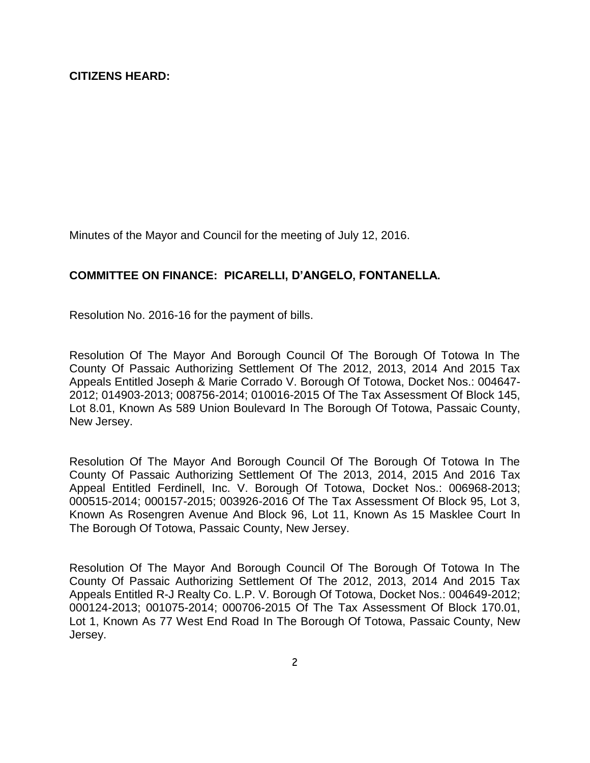Minutes of the Mayor and Council for the meeting of July 12, 2016.

### **COMMITTEE ON FINANCE: PICARELLI, D'ANGELO, FONTANELLA.**

Resolution No. 2016-16 for the payment of bills.

Resolution Of The Mayor And Borough Council Of The Borough Of Totowa In The County Of Passaic Authorizing Settlement Of The 2012, 2013, 2014 And 2015 Tax Appeals Entitled Joseph & Marie Corrado V. Borough Of Totowa, Docket Nos.: 004647- 2012; 014903-2013; 008756-2014; 010016-2015 Of The Tax Assessment Of Block 145, Lot 8.01, Known As 589 Union Boulevard In The Borough Of Totowa, Passaic County, New Jersey.

Resolution Of The Mayor And Borough Council Of The Borough Of Totowa In The County Of Passaic Authorizing Settlement Of The 2013, 2014, 2015 And 2016 Tax Appeal Entitled Ferdinell, Inc. V. Borough Of Totowa, Docket Nos.: 006968-2013; 000515-2014; 000157-2015; 003926-2016 Of The Tax Assessment Of Block 95, Lot 3, Known As Rosengren Avenue And Block 96, Lot 11, Known As 15 Masklee Court In The Borough Of Totowa, Passaic County, New Jersey.

Resolution Of The Mayor And Borough Council Of The Borough Of Totowa In The County Of Passaic Authorizing Settlement Of The 2012, 2013, 2014 And 2015 Tax Appeals Entitled R-J Realty Co. L.P. V. Borough Of Totowa, Docket Nos.: 004649-2012; 000124-2013; 001075-2014; 000706-2015 Of The Tax Assessment Of Block 170.01, Lot 1, Known As 77 West End Road In The Borough Of Totowa, Passaic County, New Jersey.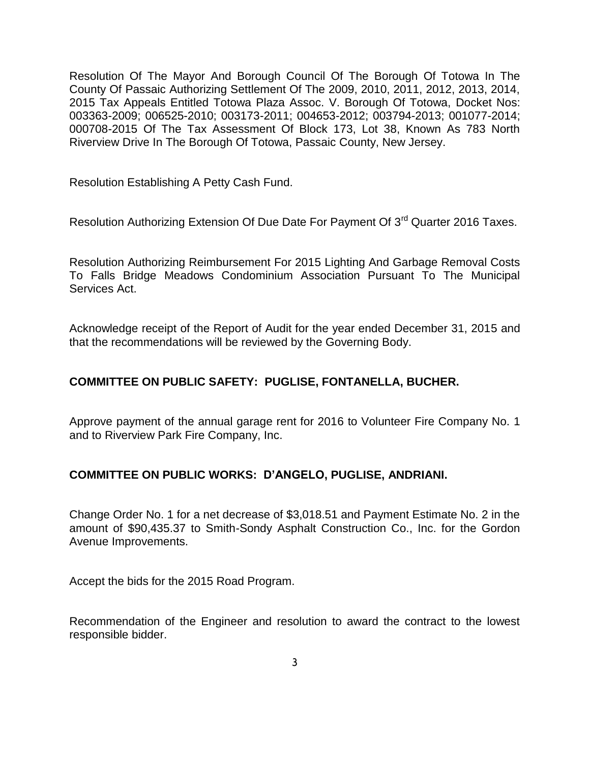Resolution Of The Mayor And Borough Council Of The Borough Of Totowa In The County Of Passaic Authorizing Settlement Of The 2009, 2010, 2011, 2012, 2013, 2014, 2015 Tax Appeals Entitled Totowa Plaza Assoc. V. Borough Of Totowa, Docket Nos: 003363-2009; 006525-2010; 003173-2011; 004653-2012; 003794-2013; 001077-2014; 000708-2015 Of The Tax Assessment Of Block 173, Lot 38, Known As 783 North Riverview Drive In The Borough Of Totowa, Passaic County, New Jersey.

Resolution Establishing A Petty Cash Fund.

Resolution Authorizing Extension Of Due Date For Payment Of 3<sup>rd</sup> Quarter 2016 Taxes.

Resolution Authorizing Reimbursement For 2015 Lighting And Garbage Removal Costs To Falls Bridge Meadows Condominium Association Pursuant To The Municipal Services Act.

Acknowledge receipt of the Report of Audit for the year ended December 31, 2015 and that the recommendations will be reviewed by the Governing Body.

#### **COMMITTEE ON PUBLIC SAFETY: PUGLISE, FONTANELLA, BUCHER.**

Approve payment of the annual garage rent for 2016 to Volunteer Fire Company No. 1 and to Riverview Park Fire Company, Inc.

#### **COMMITTEE ON PUBLIC WORKS: D'ANGELO, PUGLISE, ANDRIANI.**

Change Order No. 1 for a net decrease of \$3,018.51 and Payment Estimate No. 2 in the amount of \$90,435.37 to Smith-Sondy Asphalt Construction Co., Inc. for the Gordon Avenue Improvements.

Accept the bids for the 2015 Road Program.

Recommendation of the Engineer and resolution to award the contract to the lowest responsible bidder.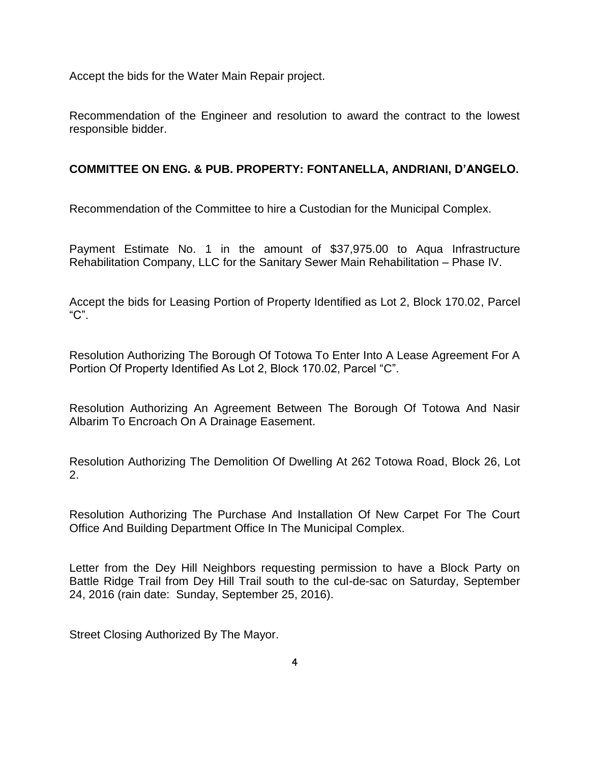Accept the bids for the Water Main Repair project.

Recommendation of the Engineer and resolution to award the contract to the lowest responsible bidder.

## **COMMITTEE ON ENG. & PUB. PROPERTY: FONTANELLA, ANDRIANI, D'ANGELO.**

Recommendation of the Committee to hire a Custodian for the Municipal Complex.

Payment Estimate No. 1 in the amount of \$37,975.00 to Aqua Infrastructure Rehabilitation Company, LLC for the Sanitary Sewer Main Rehabilitation – Phase IV.

Accept the bids for Leasing Portion of Property Identified as Lot 2, Block 170.02, Parcel "C".

Resolution Authorizing The Borough Of Totowa To Enter Into A Lease Agreement For A Portion Of Property Identified As Lot 2, Block 170.02, Parcel "C".

Resolution Authorizing An Agreement Between The Borough Of Totowa And Nasir Albarim To Encroach On A Drainage Easement.

Resolution Authorizing The Demolition Of Dwelling At 262 Totowa Road, Block 26, Lot 2.

Resolution Authorizing The Purchase And Installation Of New Carpet For The Court Office And Building Department Office In The Municipal Complex.

Letter from the Dey Hill Neighbors requesting permission to have a Block Party on Battle Ridge Trail from Dey Hill Trail south to the cul-de-sac on Saturday, September 24, 2016 (rain date: Sunday, September 25, 2016).

Street Closing Authorized By The Mayor.